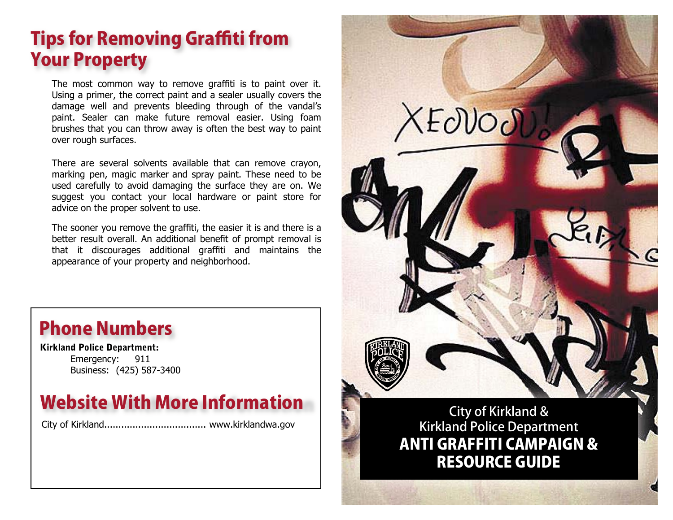## **Tips for Removing Graffiti from** Your Property

The most common way to remove graffiti is to paint over it. Using a primer, the correct paint and a sealer usually covers the damage well and prevents bleeding through of the vandal's paint. Sealer can make future removal easier. Using foam brushes that you can throw away is often the best way to paint over rough surfaces.

There are several solvents available that can remove crayon, marking pen, magic marker and spray paint. These need to be used carefully to avoid damaging the surface they are on. We suggest you contact your local hardware or paint store for advice on the proper solvent to use.

The sooner you remove the graffiti, the easier it is and there is a better result overall. An additional benefit of prompt removal is that it discourages additional graffiti and maintains the appearance of your property and neighborhood.



**Kirkland Police Department:** Emergency: 911Business: (425) 587-3400

## Website With More Information

City of Kirkland.................................... www.kirklandwa.gov